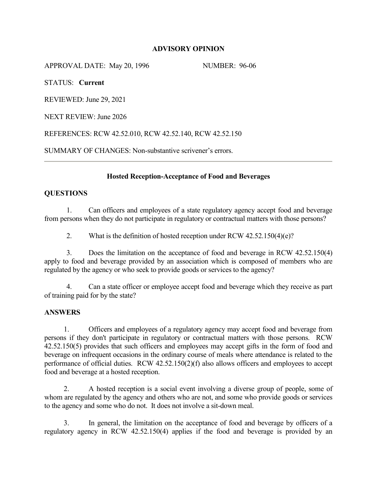## **ADVISORY OPINION**

APPROVAL DATE: May 20, 1996 NUMBER: 96-06

STATUS: **Current**

REVIEWED: June 29, 2021

NEXT REVIEW: June 2026

REFERENCES: RCW 42.52.010, RCW 42.52.140, RCW 42.52.150

SUMMARY OF CHANGES: Non-substantive scrivener's errors.

## **Hosted Reception-Acceptance of Food and Beverages**

## **QUESTIONS**

1. Can officers and employees of a state regulatory agency accept food and beverage from persons when they do not participate in regulatory or contractual matters with those persons?

2. What is the definition of hosted reception under RCW 42.52.150(4)(e)?

3. Does the limitation on the acceptance of food and beverage in RCW 42.52.150(4) apply to food and beverage provided by an association which is composed of members who are regulated by the agency or who seek to provide goods or services to the agency?

4. Can a state officer or employee accept food and beverage which they receive as part of training paid for by the state?

### **ANSWERS**

1. Officers and employees of a regulatory agency may accept food and beverage from persons if they don't participate in regulatory or contractual matters with those persons. RCW 42.52.150(5) provides that such officers and employees may accept gifts in the form of food and beverage on infrequent occasions in the ordinary course of meals where attendance is related to the performance of official duties. RCW 42.52.150(2)(f) also allows officers and employees to accept food and beverage at a hosted reception.

2. A hosted reception is a social event involving a diverse group of people, some of whom are regulated by the agency and others who are not, and some who provide goods or services to the agency and some who do not. It does not involve a sit-down meal.

3. In general, the limitation on the acceptance of food and beverage by officers of a regulatory agency in RCW 42.52.150(4) applies if the food and beverage is provided by an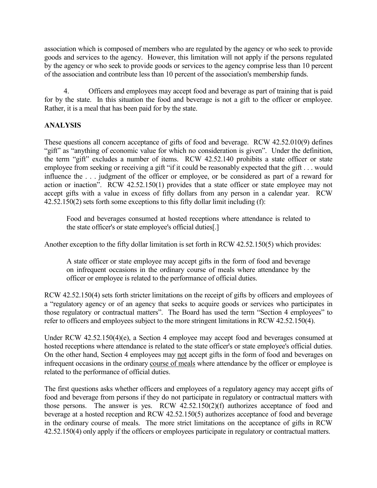association which is composed of members who are regulated by the agency or who seek to provide goods and services to the agency. However, this limitation will not apply if the persons regulated by the agency or who seek to provide goods or services to the agency comprise less than 10 percent of the association and contribute less than 10 percent of the association's membership funds.

4. Officers and employees may accept food and beverage as part of training that is paid for by the state. In this situation the food and beverage is not a gift to the officer or employee. Rather, it is a meal that has been paid for by the state.

# **ANALYSIS**

These questions all concern acceptance of gifts of food and beverage. RCW 42.52.010(9) defines "gift" as "anything of economic value for which no consideration is given". Under the definition, the term "gift" excludes a number of items. RCW 42.52.140 prohibits a state officer or state employee from seeking or receiving a gift "if it could be reasonably expected that the gift . . . would influence the . . . judgment of the officer or employee, or be considered as part of a reward for action or inaction". RCW 42.52.150(1) provides that a state officer or state employee may not accept gifts with a value in excess of fifty dollars from any person in a calendar year. RCW 42.52.150(2) sets forth some exceptions to this fifty dollar limit including (f):

Food and beverages consumed at hosted receptions where attendance is related to the state officer's or state employee's official duties[.]

Another exception to the fifty dollar limitation is set forth in RCW 42.52.150(5) which provides:

A state officer or state employee may accept gifts in the form of food and beverage on infrequent occasions in the ordinary course of meals where attendance by the officer or employee is related to the performance of official duties.

RCW 42.52.150(4) sets forth stricter limitations on the receipt of gifts by officers and employees of a "regulatory agency or of an agency that seeks to acquire goods or services who participates in those regulatory or contractual matters". The Board has used the term "Section 4 employees" to refer to officers and employees subject to the more stringent limitations in RCW 42.52.150(4).

Under RCW 42.52.150(4)(e), a Section 4 employee may accept food and beverages consumed at hosted receptions where attendance is related to the state officer's or state employee's official duties. On the other hand, Section 4 employees may not accept gifts in the form of food and beverages on infrequent occasions in the ordinary course of meals where attendance by the officer or employee is related to the performance of official duties.

The first questions asks whether officers and employees of a regulatory agency may accept gifts of food and beverage from persons if they do not participate in regulatory or contractual matters with those persons. The answer is yes. RCW 42.52.150(2)(f) authorizes acceptance of food and beverage at a hosted reception and RCW 42.52.150(5) authorizes acceptance of food and beverage in the ordinary course of meals. The more strict limitations on the acceptance of gifts in RCW 42.52.150(4) only apply if the officers or employees participate in regulatory or contractual matters.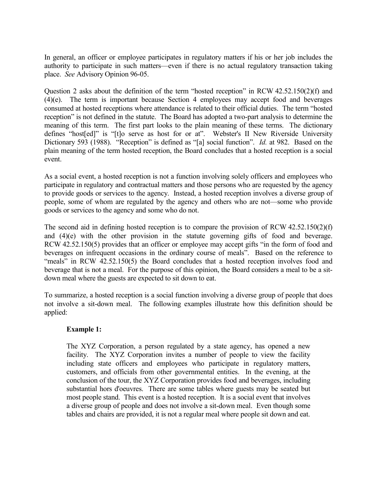In general, an officer or employee participates in regulatory matters if his or her job includes the authority to participate in such matters—even if there is no actual regulatory transaction taking place. *See* Advisory Opinion 96-05.

Question 2 asks about the definition of the term "hosted reception" in RCW 42.52.150(2)(f) and (4)(e). The term is important because Section 4 employees may accept food and beverages consumed at hosted receptions where attendance is related to their official duties. The term "hosted reception" is not defined in the statute. The Board has adopted a two-part analysis to determine the meaning of this term. The first part looks to the plain meaning of these terms. The dictionary defines "host[ed]" is "[t]o serve as host for or at". Webster's II New Riverside University Dictionary 593 (1988). "Reception" is defined as "[a] social function". *Id.* at 982. Based on the plain meaning of the term hosted reception, the Board concludes that a hosted reception is a social event.

As a social event, a hosted reception is not a function involving solely officers and employees who participate in regulatory and contractual matters and those persons who are requested by the agency to provide goods or services to the agency. Instead, a hosted reception involves a diverse group of people, some of whom are regulated by the agency and others who are not—some who provide goods or services to the agency and some who do not.

The second aid in defining hosted reception is to compare the provision of RCW 42.52.150(2)(f) and (4)(e) with the other provision in the statute governing gifts of food and beverage. RCW 42.52.150(5) provides that an officer or employee may accept gifts "in the form of food and beverages on infrequent occasions in the ordinary course of meals". Based on the reference to "meals" in RCW 42.52.150(5) the Board concludes that a hosted reception involves food and beverage that is not a meal. For the purpose of this opinion, the Board considers a meal to be a sitdown meal where the guests are expected to sit down to eat.

To summarize, a hosted reception is a social function involving a diverse group of people that does not involve a sit-down meal. The following examples illustrate how this definition should be applied:

### **Example 1:**

The XYZ Corporation, a person regulated by a state agency, has opened a new facility. The XYZ Corporation invites a number of people to view the facility including state officers and employees who participate in regulatory matters, customers, and officials from other governmental entities. In the evening, at the conclusion of the tour, the XYZ Corporation provides food and beverages, including substantial hors d'oeuvres. There are some tables where guests may be seated but most people stand. This event is a hosted reception. It is a social event that involves a diverse group of people and does not involve a sit-down meal. Even though some tables and chairs are provided, it is not a regular meal where people sit down and eat.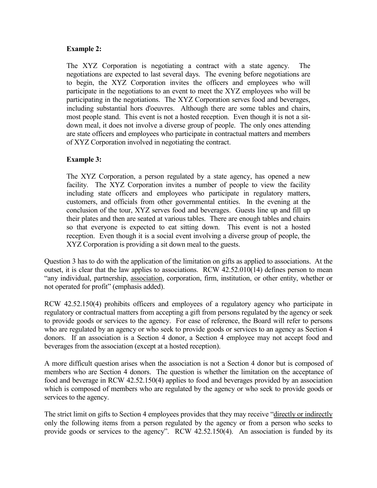### **Example 2:**

The XYZ Corporation is negotiating a contract with a state agency. The negotiations are expected to last several days. The evening before negotiations are to begin, the XYZ Corporation invites the officers and employees who will participate in the negotiations to an event to meet the XYZ employees who will be participating in the negotiations. The XYZ Corporation serves food and beverages, including substantial hors d'oeuvres. Although there are some tables and chairs, most people stand. This event is not a hosted reception. Even though it is not a sitdown meal, it does not involve a diverse group of people. The only ones attending are state officers and employees who participate in contractual matters and members of XYZ Corporation involved in negotiating the contract.

## **Example 3:**

The XYZ Corporation, a person regulated by a state agency, has opened a new facility. The XYZ Corporation invites a number of people to view the facility including state officers and employees who participate in regulatory matters, customers, and officials from other governmental entities. In the evening at the conclusion of the tour, XYZ serves food and beverages. Guests line up and fill up their plates and then are seated at various tables. There are enough tables and chairs so that everyone is expected to eat sitting down. This event is not a hosted reception. Even though it is a social event involving a diverse group of people, the XYZ Corporation is providing a sit down meal to the guests.

Question 3 has to do with the application of the limitation on gifts as applied to associations. At the outset, it is clear that the law applies to associations. RCW 42.52.010(14) defines person to mean "any individual, partnership, association, corporation, firm, institution, or other entity, whether or not operated for profit" (emphasis added).

RCW 42.52.150(4) prohibits officers and employees of a regulatory agency who participate in regulatory or contractual matters from accepting a gift from persons regulated by the agency or seek to provide goods or services to the agency. For ease of reference, the Board will refer to persons who are regulated by an agency or who seek to provide goods or services to an agency as Section 4 donors. If an association is a Section 4 donor, a Section 4 employee may not accept food and beverages from the association (except at a hosted reception).

A more difficult question arises when the association is not a Section 4 donor but is composed of members who are Section 4 donors. The question is whether the limitation on the acceptance of food and beverage in RCW 42.52.150(4) applies to food and beverages provided by an association which is composed of members who are regulated by the agency or who seek to provide goods or services to the agency.

The strict limit on gifts to Section 4 employees provides that they may receive "directly or indirectly only the following items from a person regulated by the agency or from a person who seeks to provide goods or services to the agency". RCW 42.52.150(4). An association is funded by its